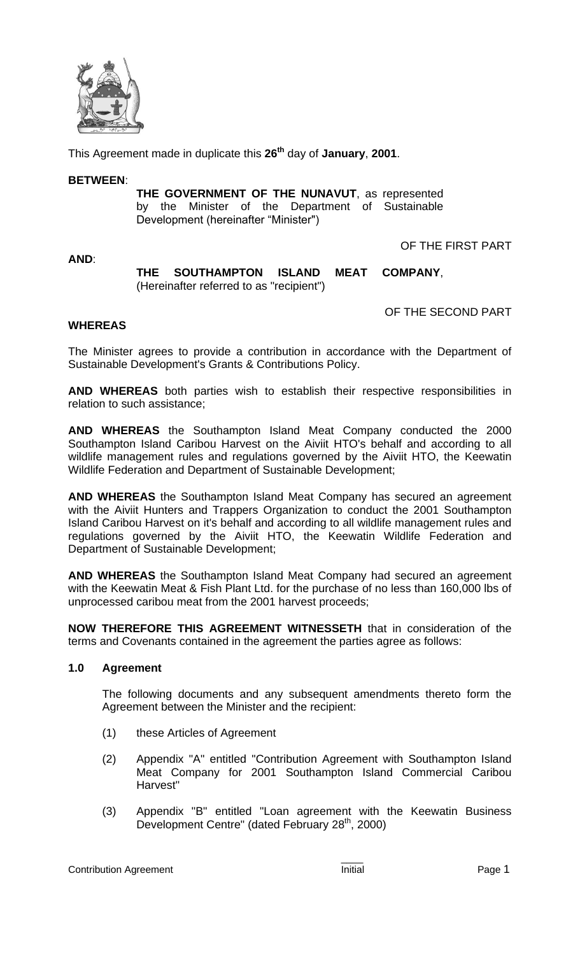

This Agreement made in duplicate this **26th** day of **January**, **2001**.

#### **BETWEEN**:

**THE GOVERNMENT OF THE NUNAVUT**, as represented by the Minister of the Department of Sustainable Development (hereinafter "Minister")

**AND**:

OF THE FIRST PART

# **THE SOUTHAMPTON ISLAND MEAT COMPANY**, (Hereinafter referred to as "recipient")

OF THE SECOND PART

# **WHEREAS**

The Minister agrees to provide a contribution in accordance with the Department of Sustainable Development's Grants & Contributions Policy.

**AND WHEREAS** both parties wish to establish their respective responsibilities in relation to such assistance;

**AND WHEREAS** the Southampton Island Meat Company conducted the 2000 Southampton Island Caribou Harvest on the Aiviit HTO's behalf and according to all wildlife management rules and regulations governed by the Aiviit HTO, the Keewatin Wildlife Federation and Department of Sustainable Development;

**AND WHEREAS** the Southampton Island Meat Company has secured an agreement with the Aiviit Hunters and Trappers Organization to conduct the 2001 Southampton Island Caribou Harvest on it's behalf and according to all wildlife management rules and regulations governed by the Aiviit HTO, the Keewatin Wildlife Federation and Department of Sustainable Development;

**AND WHEREAS** the Southampton Island Meat Company had secured an agreement with the Keewatin Meat & Fish Plant Ltd. for the purchase of no less than 160,000 lbs of unprocessed caribou meat from the 2001 harvest proceeds;

**NOW THEREFORE THIS AGREEMENT WITNESSETH** that in consideration of the terms and Covenants contained in the agreement the parties agree as follows:

# **1.0 Agreement**

The following documents and any subsequent amendments thereto form the Agreement between the Minister and the recipient:

- (1) these Articles of Agreement
- (2) Appendix "A" entitled "Contribution Agreement with Southampton Island Meat Company for 2001 Southampton Island Commercial Caribou Harvest"
- (3) Appendix "B" entitled "Loan agreement with the Keewatin Business Development Centre" (dated February 28<sup>th</sup>, 2000)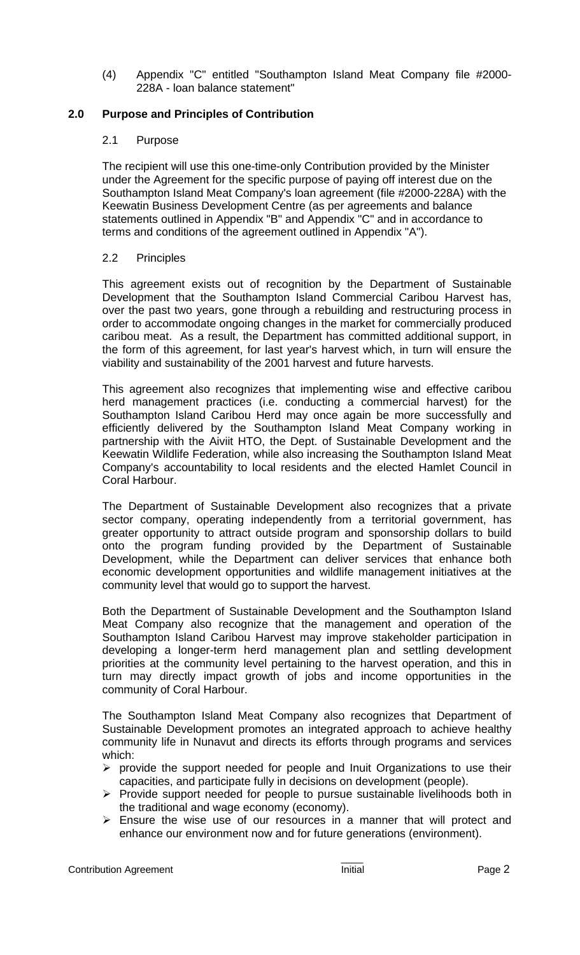(4) Appendix "C" entitled "Southampton Island Meat Company file #2000- 228A - loan balance statement"

# **2.0 Purpose and Principles of Contribution**

# 2.1 Purpose

The recipient will use this one-time-only Contribution provided by the Minister under the Agreement for the specific purpose of paying off interest due on the Southampton Island Meat Company's loan agreement (file #2000-228A) with the Keewatin Business Development Centre (as per agreements and balance statements outlined in Appendix "B" and Appendix "C" and in accordance to terms and conditions of the agreement outlined in Appendix "A").

# 2.2 Principles

This agreement exists out of recognition by the Department of Sustainable Development that the Southampton Island Commercial Caribou Harvest has, over the past two years, gone through a rebuilding and restructuring process in order to accommodate ongoing changes in the market for commercially produced caribou meat. As a result, the Department has committed additional support, in the form of this agreement, for last year's harvest which, in turn will ensure the viability and sustainability of the 2001 harvest and future harvests.

This agreement also recognizes that implementing wise and effective caribou herd management practices (i.e. conducting a commercial harvest) for the Southampton Island Caribou Herd may once again be more successfully and efficiently delivered by the Southampton Island Meat Company working in partnership with the Aiviit HTO, the Dept. of Sustainable Development and the Keewatin Wildlife Federation, while also increasing the Southampton Island Meat Company's accountability to local residents and the elected Hamlet Council in Coral Harbour.

The Department of Sustainable Development also recognizes that a private sector company, operating independently from a territorial government, has greater opportunity to attract outside program and sponsorship dollars to build onto the program funding provided by the Department of Sustainable Development, while the Department can deliver services that enhance both economic development opportunities and wildlife management initiatives at the community level that would go to support the harvest.

Both the Department of Sustainable Development and the Southampton Island Meat Company also recognize that the management and operation of the Southampton Island Caribou Harvest may improve stakeholder participation in developing a longer-term herd management plan and settling development priorities at the community level pertaining to the harvest operation, and this in turn may directly impact growth of jobs and income opportunities in the community of Coral Harbour.

The Southampton Island Meat Company also recognizes that Department of Sustainable Development promotes an integrated approach to achieve healthy community life in Nunavut and directs its efforts through programs and services which:

- $\triangleright$  provide the support needed for people and Inuit Organizations to use their capacities, and participate fully in decisions on development (people).
- $\triangleright$  Provide support needed for people to pursue sustainable livelihoods both in the traditional and wage economy (economy).
- $\triangleright$  Ensure the wise use of our resources in a manner that will protect and enhance our environment now and for future generations (environment).

Contribution Agreement **Initial** Page 2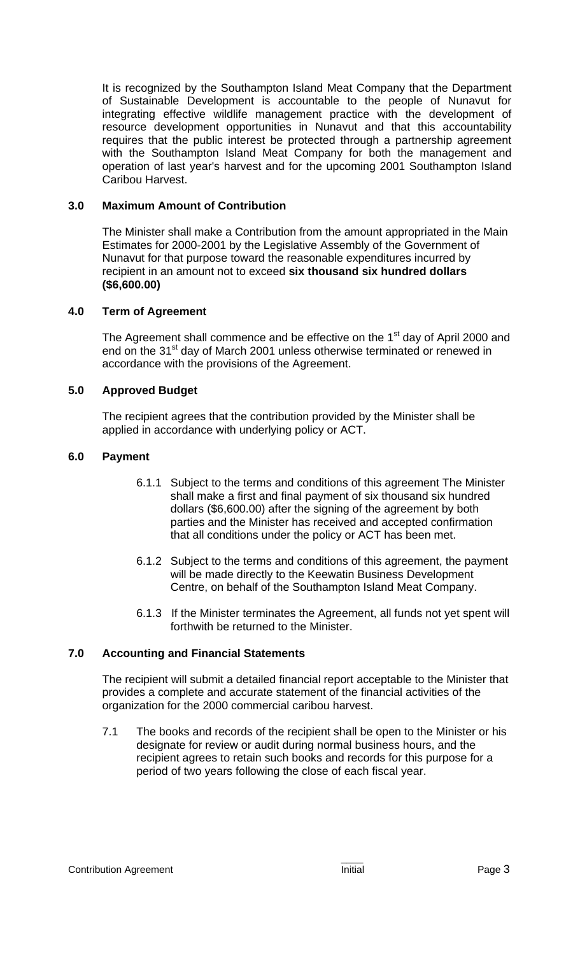It is recognized by the Southampton Island Meat Company that the Department of Sustainable Development is accountable to the people of Nunavut for integrating effective wildlife management practice with the development of resource development opportunities in Nunavut and that this accountability requires that the public interest be protected through a partnership agreement with the Southampton Island Meat Company for both the management and operation of last year's harvest and for the upcoming 2001 Southampton Island Caribou Harvest.

# **3.0 Maximum Amount of Contribution**

The Minister shall make a Contribution from the amount appropriated in the Main Estimates for 2000-2001 by the Legislative Assembly of the Government of Nunavut for that purpose toward the reasonable expenditures incurred by recipient in an amount not to exceed **six thousand six hundred dollars (\$6,600.00)**

# **4.0 Term of Agreement**

The Agreement shall commence and be effective on the 1<sup>st</sup> day of April 2000 and end on the 31<sup>st</sup> day of March 2001 unless otherwise terminated or renewed in accordance with the provisions of the Agreement.

# **5.0 Approved Budget**

The recipient agrees that the contribution provided by the Minister shall be applied in accordance with underlying policy or ACT.

#### **6.0 Payment**

- 6.1.1 Subject to the terms and conditions of this agreement The Minister shall make a first and final payment of six thousand six hundred dollars (\$6,600.00) after the signing of the agreement by both parties and the Minister has received and accepted confirmation that all conditions under the policy or ACT has been met.
- 6.1.2 Subject to the terms and conditions of this agreement, the payment will be made directly to the Keewatin Business Development Centre, on behalf of the Southampton Island Meat Company.
- 6.1.3 If the Minister terminates the Agreement, all funds not yet spent will forthwith be returned to the Minister.

#### **7.0 Accounting and Financial Statements**

The recipient will submit a detailed financial report acceptable to the Minister that provides a complete and accurate statement of the financial activities of the organization for the 2000 commercial caribou harvest.

7.1 The books and records of the recipient shall be open to the Minister or his designate for review or audit during normal business hours, and the recipient agrees to retain such books and records for this purpose for a period of two years following the close of each fiscal year.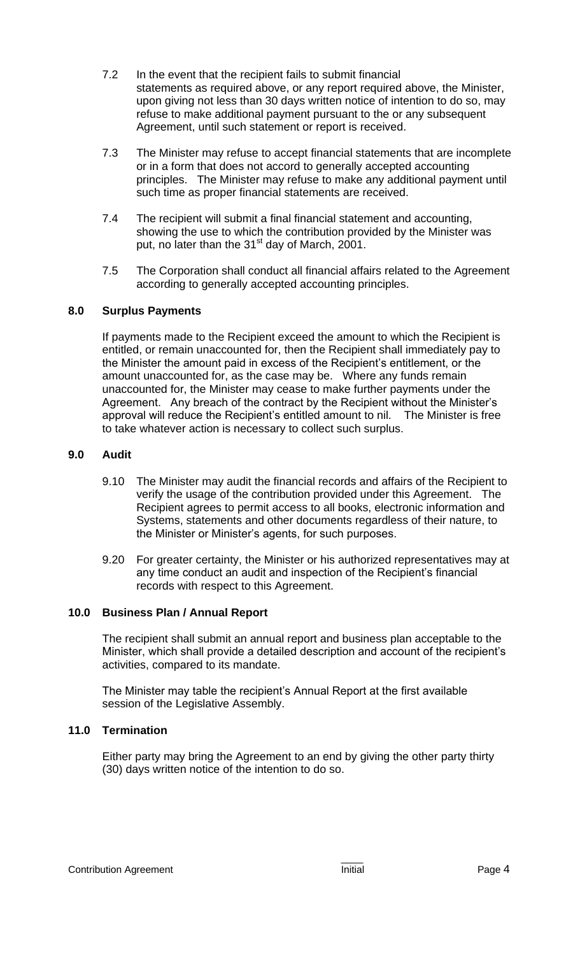- 7.2 In the event that the recipient fails to submit financial statements as required above, or any report required above, the Minister, upon giving not less than 30 days written notice of intention to do so, may refuse to make additional payment pursuant to the or any subsequent Agreement, until such statement or report is received.
- 7.3 The Minister may refuse to accept financial statements that are incomplete or in a form that does not accord to generally accepted accounting principles. The Minister may refuse to make any additional payment until such time as proper financial statements are received.
- 7.4 The recipient will submit a final financial statement and accounting, showing the use to which the contribution provided by the Minister was put, no later than the 31<sup>st</sup> day of March, 2001.
- 7.5 The Corporation shall conduct all financial affairs related to the Agreement according to generally accepted accounting principles.

# **8.0 Surplus Payments**

If payments made to the Recipient exceed the amount to which the Recipient is entitled, or remain unaccounted for, then the Recipient shall immediately pay to the Minister the amount paid in excess of the Recipient's entitlement, or the amount unaccounted for, as the case may be. Where any funds remain unaccounted for, the Minister may cease to make further payments under the Agreement. Any breach of the contract by the Recipient without the Minister's approval will reduce the Recipient's entitled amount to nil. The Minister is free to take whatever action is necessary to collect such surplus.

#### **9.0 Audit**

- 9.10 The Minister may audit the financial records and affairs of the Recipient to verify the usage of the contribution provided under this Agreement. The Recipient agrees to permit access to all books, electronic information and Systems, statements and other documents regardless of their nature, to the Minister or Minister's agents, for such purposes.
- 9.20 For greater certainty, the Minister or his authorized representatives may at any time conduct an audit and inspection of the Recipient's financial records with respect to this Agreement.

#### **10.0 Business Plan / Annual Report**

The recipient shall submit an annual report and business plan acceptable to the Minister, which shall provide a detailed description and account of the recipient's activities, compared to its mandate.

The Minister may table the recipient's Annual Report at the first available session of the Legislative Assembly.

#### **11.0 Termination**

Either party may bring the Agreement to an end by giving the other party thirty (30) days written notice of the intention to do so.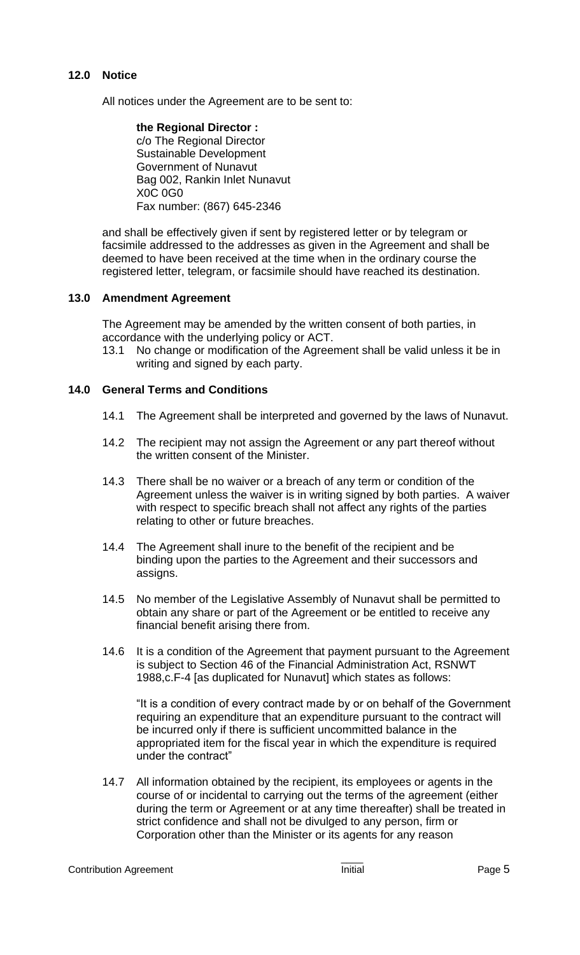# **12.0 Notice**

All notices under the Agreement are to be sent to:

**the Regional Director :** c/o The Regional Director Sustainable Development Government of Nunavut Bag 002, Rankin Inlet Nunavut X0C 0G0 Fax number: (867) 645-2346

and shall be effectively given if sent by registered letter or by telegram or facsimile addressed to the addresses as given in the Agreement and shall be deemed to have been received at the time when in the ordinary course the registered letter, telegram, or facsimile should have reached its destination.

# **13.0 Amendment Agreement**

The Agreement may be amended by the written consent of both parties, in accordance with the underlying policy or ACT.

13.1 No change or modification of the Agreement shall be valid unless it be in writing and signed by each party.

# **14.0 General Terms and Conditions**

- 14.1 The Agreement shall be interpreted and governed by the laws of Nunavut.
- 14.2 The recipient may not assign the Agreement or any part thereof without the written consent of the Minister.
- 14.3 There shall be no waiver or a breach of any term or condition of the Agreement unless the waiver is in writing signed by both parties. A waiver with respect to specific breach shall not affect any rights of the parties relating to other or future breaches.
- 14.4 The Agreement shall inure to the benefit of the recipient and be binding upon the parties to the Agreement and their successors and assigns.
- 14.5 No member of the Legislative Assembly of Nunavut shall be permitted to obtain any share or part of the Agreement or be entitled to receive any financial benefit arising there from.
- 14.6 It is a condition of the Agreement that payment pursuant to the Agreement is subject to Section 46 of the Financial Administration Act, RSNWT 1988,c.F-4 [as duplicated for Nunavut] which states as follows:

"It is a condition of every contract made by or on behalf of the Government requiring an expenditure that an expenditure pursuant to the contract will be incurred only if there is sufficient uncommitted balance in the appropriated item for the fiscal year in which the expenditure is required under the contract"

14.7 All information obtained by the recipient, its employees or agents in the course of or incidental to carrying out the terms of the agreement (either during the term or Agreement or at any time thereafter) shall be treated in strict confidence and shall not be divulged to any person, firm or Corporation other than the Minister or its agents for any reason